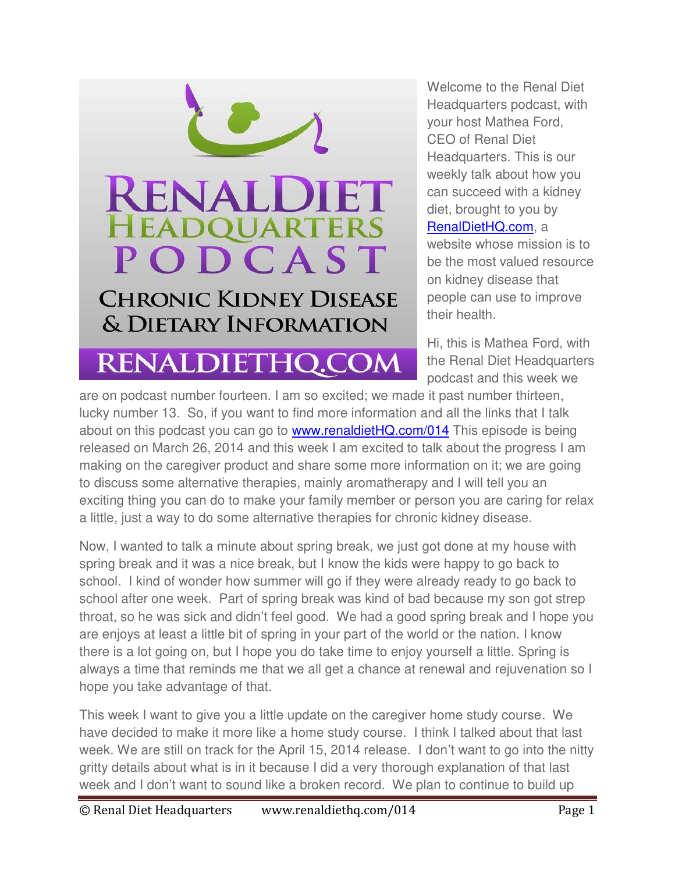## **RENALDI I EET HEADOUARTERS** PODCAST **CHRONIC KIDNEY DISEASE**

& DIETARY INFORMATION

RENALDIETHQ.COM

Welcome to the Renal Diet Headquarters podcast, with your host Mathea Ford, CEO of Renal Diet Headquarters. This is our weekly talk about how you can succeed with a kidney diet, brought to you by [RenalDietHQ.com,](http://www.renaldiethq.com/) a website whose mission is to be the most valued resource on kidney disease that people can use to improve their health.

Hi, this is Mathea Ford, with the Renal Diet Headquarters podcast and this week we

are on podcast number fourteen. I am so excited; we made it past number thirteen, lucky number 13. So, if you want to find more information and all the links that I talk about on this podcast you can go to [www.renaldietHQ.com/014](http://www.renaldiethq.com/014) This episode is being released on March 26, 2014 and this week I am excited to talk about the progress I am making on the caregiver product and share some more information on it; we are going to discuss some alternative therapies, mainly aromatherapy and I will tell you an exciting thing you can do to make your family member or person you are caring for relax a little, just a way to do some alternative therapies for chronic kidney disease.

Now, I wanted to talk a minute about spring break, we just got done at my house with spring break and it was a nice break, but I know the kids were happy to go back to school. I kind of wonder how summer will go if they were already ready to go back to school after one week. Part of spring break was kind of bad because my son got strep throat, so he was sick and didn't feel good. We had a good spring break and I hope you are enjoys at least a little bit of spring in your part of the world or the nation. I know there is a lot going on, but I hope you do take time to enjoy yourself a little. Spring is always a time that reminds me that we all get a chance at renewal and rejuvenation so I hope you take advantage of that.

This week I want to give you a little update on the caregiver home study course. We have decided to make it more like a home study course. I think I talked about that last week. We are still on track for the April 15, 2014 release. I don't want to go into the nitty gritty details about what is in it because I did a very thorough explanation of that last week and I don't want to sound like a broken record. We plan to continue to build up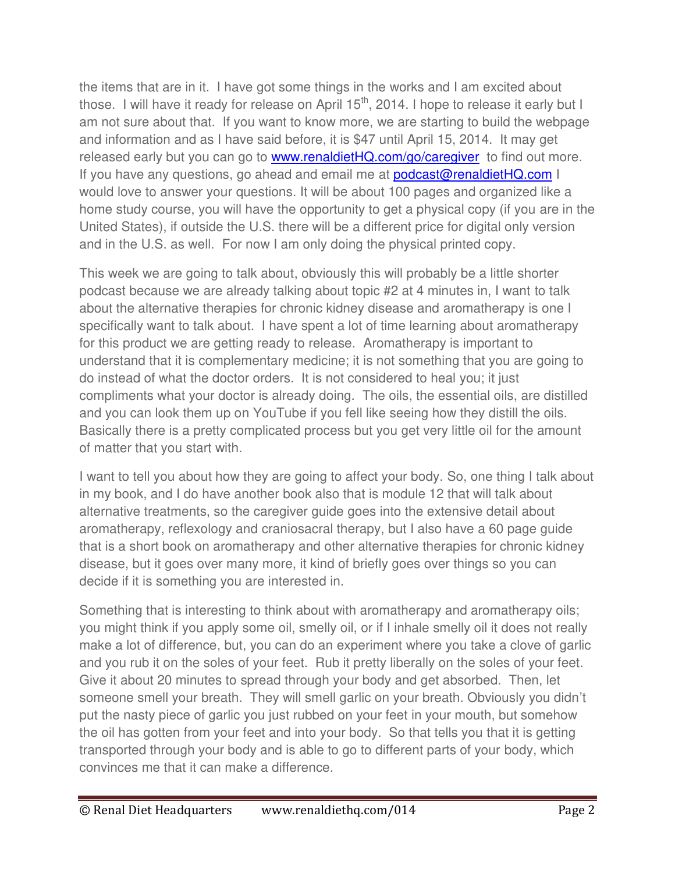the items that are in it. I have got some things in the works and I am excited about those. I will have it ready for release on April  $15<sup>th</sup>$ , 2014. I hope to release it early but I am not sure about that. If you want to know more, we are starting to build the webpage and information and as I have said before, it is \$47 until April 15, 2014. It may get released early but you can go to **www.renaldietHQ.com/go/caregiver** to find out more. If you have any questions, go ahead and email me at **podcast@renaldietHQ.com** I would love to answer your questions. It will be about 100 pages and organized like a home study course, you will have the opportunity to get a physical copy (if you are in the United States), if outside the U.S. there will be a different price for digital only version and in the U.S. as well. For now I am only doing the physical printed copy.

This week we are going to talk about, obviously this will probably be a little shorter podcast because we are already talking about topic #2 at 4 minutes in, I want to talk about the alternative therapies for chronic kidney disease and aromatherapy is one I specifically want to talk about. I have spent a lot of time learning about aromatherapy for this product we are getting ready to release. Aromatherapy is important to understand that it is complementary medicine; it is not something that you are going to do instead of what the doctor orders. It is not considered to heal you; it just compliments what your doctor is already doing. The oils, the essential oils, are distilled and you can look them up on YouTube if you fell like seeing how they distill the oils. Basically there is a pretty complicated process but you get very little oil for the amount of matter that you start with.

I want to tell you about how they are going to affect your body. So, one thing I talk about in my book, and I do have another book also that is module 12 that will talk about alternative treatments, so the caregiver guide goes into the extensive detail about aromatherapy, reflexology and craniosacral therapy, but I also have a 60 page guide that is a short book on aromatherapy and other alternative therapies for chronic kidney disease, but it goes over many more, it kind of briefly goes over things so you can decide if it is something you are interested in.

Something that is interesting to think about with aromatherapy and aromatherapy oils; you might think if you apply some oil, smelly oil, or if I inhale smelly oil it does not really make a lot of difference, but, you can do an experiment where you take a clove of garlic and you rub it on the soles of your feet. Rub it pretty liberally on the soles of your feet. Give it about 20 minutes to spread through your body and get absorbed. Then, let someone smell your breath. They will smell garlic on your breath. Obviously you didn't put the nasty piece of garlic you just rubbed on your feet in your mouth, but somehow the oil has gotten from your feet and into your body. So that tells you that it is getting transported through your body and is able to go to different parts of your body, which convinces me that it can make a difference.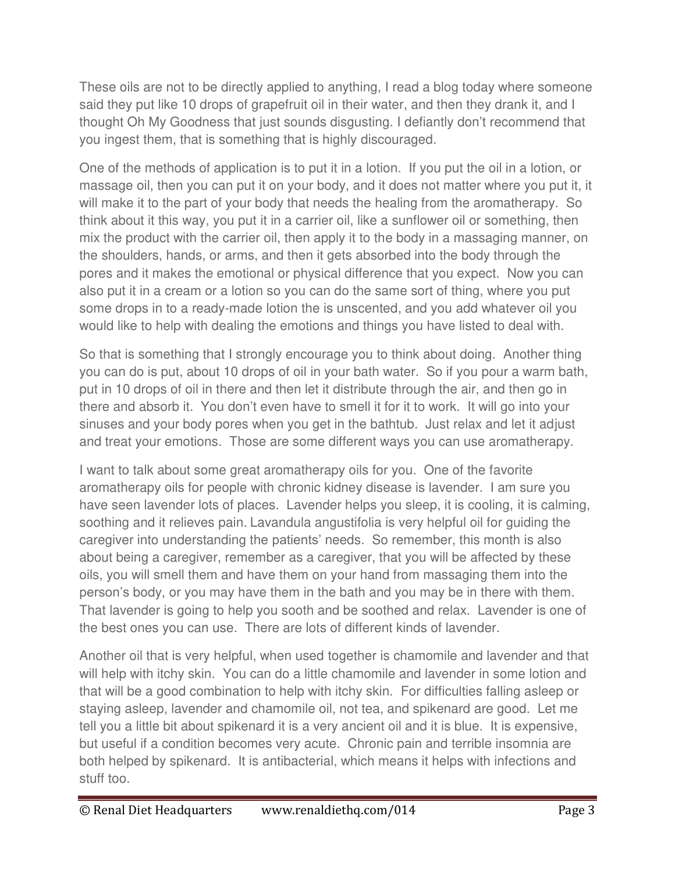These oils are not to be directly applied to anything, I read a blog today where someone said they put like 10 drops of grapefruit oil in their water, and then they drank it, and I thought Oh My Goodness that just sounds disgusting. I defiantly don't recommend that you ingest them, that is something that is highly discouraged.

One of the methods of application is to put it in a lotion. If you put the oil in a lotion, or massage oil, then you can put it on your body, and it does not matter where you put it, it will make it to the part of your body that needs the healing from the aromatherapy. So think about it this way, you put it in a carrier oil, like a sunflower oil or something, then mix the product with the carrier oil, then apply it to the body in a massaging manner, on the shoulders, hands, or arms, and then it gets absorbed into the body through the pores and it makes the emotional or physical difference that you expect. Now you can also put it in a cream or a lotion so you can do the same sort of thing, where you put some drops in to a ready-made lotion the is unscented, and you add whatever oil you would like to help with dealing the emotions and things you have listed to deal with.

So that is something that I strongly encourage you to think about doing. Another thing you can do is put, about 10 drops of oil in your bath water. So if you pour a warm bath, put in 10 drops of oil in there and then let it distribute through the air, and then go in there and absorb it. You don't even have to smell it for it to work. It will go into your sinuses and your body pores when you get in the bathtub. Just relax and let it adjust and treat your emotions. Those are some different ways you can use aromatherapy.

I want to talk about some great aromatherapy oils for you. One of the favorite aromatherapy oils for people with chronic kidney disease is lavender. I am sure you have seen lavender lots of places. Lavender helps you sleep, it is cooling, it is calming, soothing and it relieves pain. Lavandula angustifolia is very helpful oil for guiding the caregiver into understanding the patients' needs. So remember, this month is also about being a caregiver, remember as a caregiver, that you will be affected by these oils, you will smell them and have them on your hand from massaging them into the person's body, or you may have them in the bath and you may be in there with them. That lavender is going to help you sooth and be soothed and relax. Lavender is one of the best ones you can use. There are lots of different kinds of lavender.

Another oil that is very helpful, when used together is chamomile and lavender and that will help with itchy skin. You can do a little chamomile and lavender in some lotion and that will be a good combination to help with itchy skin. For difficulties falling asleep or staying asleep, lavender and chamomile oil, not tea, and spikenard are good. Let me tell you a little bit about spikenard it is a very ancient oil and it is blue. It is expensive, but useful if a condition becomes very acute. Chronic pain and terrible insomnia are both helped by spikenard. It is antibacterial, which means it helps with infections and stuff too.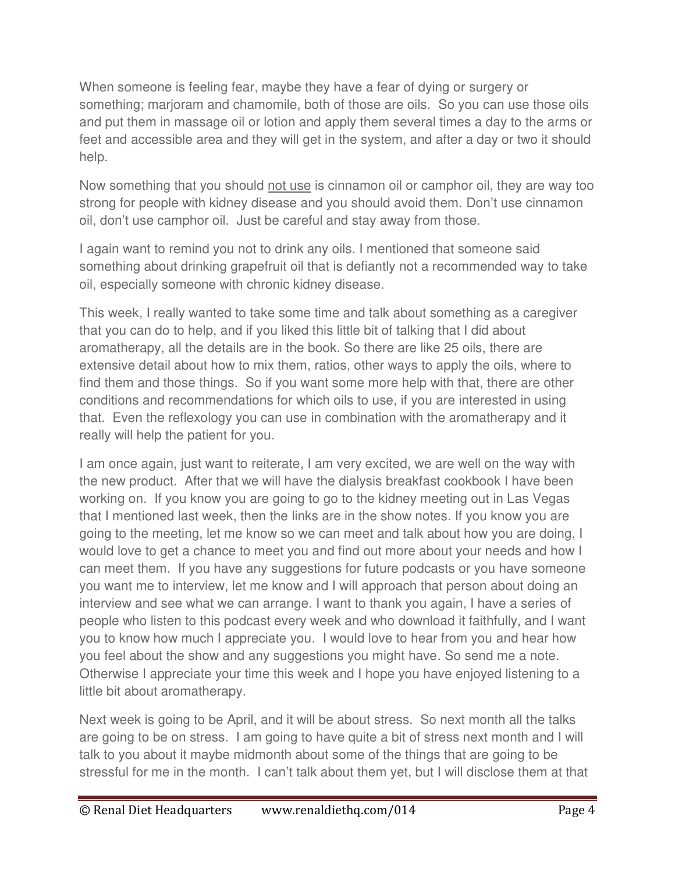When someone is feeling fear, maybe they have a fear of dying or surgery or something; marjoram and chamomile, both of those are oils. So you can use those oils and put them in massage oil or lotion and apply them several times a day to the arms or feet and accessible area and they will get in the system, and after a day or two it should help.

Now something that you should not use is cinnamon oil or camphor oil, they are way too strong for people with kidney disease and you should avoid them. Don't use cinnamon oil, don't use camphor oil. Just be careful and stay away from those.

I again want to remind you not to drink any oils. I mentioned that someone said something about drinking grapefruit oil that is defiantly not a recommended way to take oil, especially someone with chronic kidney disease.

This week, I really wanted to take some time and talk about something as a caregiver that you can do to help, and if you liked this little bit of talking that I did about aromatherapy, all the details are in the book. So there are like 25 oils, there are extensive detail about how to mix them, ratios, other ways to apply the oils, where to find them and those things. So if you want some more help with that, there are other conditions and recommendations for which oils to use, if you are interested in using that. Even the reflexology you can use in combination with the aromatherapy and it really will help the patient for you.

I am once again, just want to reiterate, I am very excited, we are well on the way with the new product. After that we will have the dialysis breakfast cookbook I have been working on. If you know you are going to go to the kidney meeting out in Las Vegas that I mentioned last week, then the links are in the show notes. If you know you are going to the meeting, let me know so we can meet and talk about how you are doing, I would love to get a chance to meet you and find out more about your needs and how I can meet them. If you have any suggestions for future podcasts or you have someone you want me to interview, let me know and I will approach that person about doing an interview and see what we can arrange. I want to thank you again, I have a series of people who listen to this podcast every week and who download it faithfully, and I want you to know how much I appreciate you. I would love to hear from you and hear how you feel about the show and any suggestions you might have. So send me a note. Otherwise I appreciate your time this week and I hope you have enjoyed listening to a little bit about aromatherapy.

Next week is going to be April, and it will be about stress. So next month all the talks are going to be on stress. I am going to have quite a bit of stress next month and I will talk to you about it maybe midmonth about some of the things that are going to be stressful for me in the month. I can't talk about them yet, but I will disclose them at that